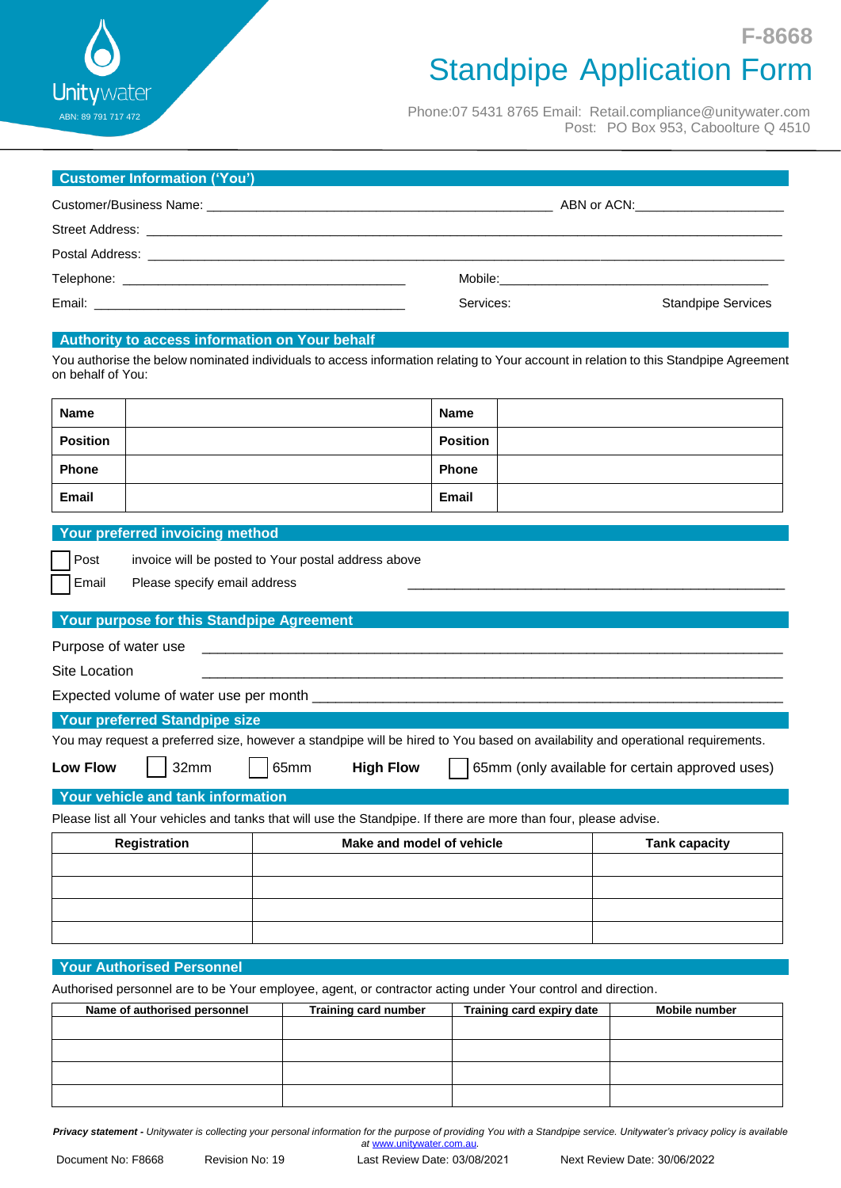$\Box$  $\Box$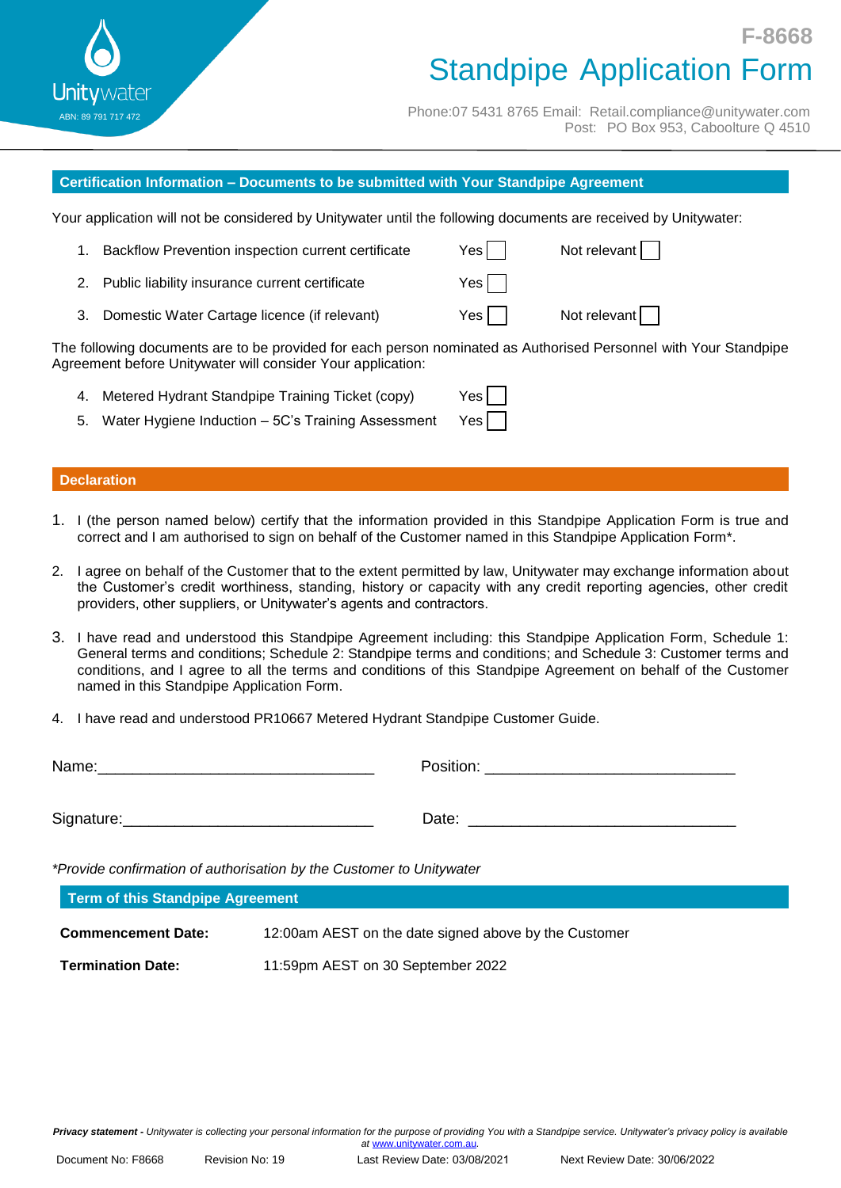$\Box$  $\Box$  $\begin{bmatrix} 1 \\ 0 \end{bmatrix}$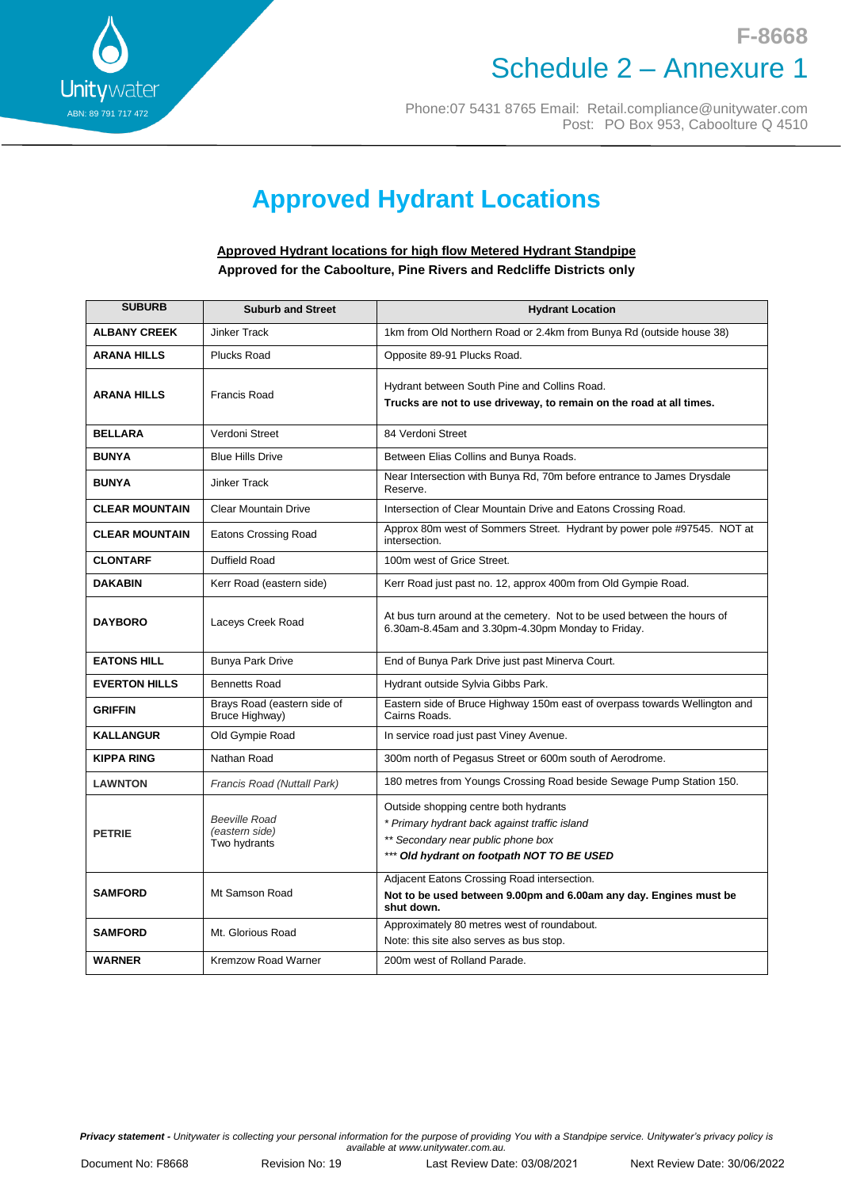

### **F-8668** Schedule 2 – Annexure 1

Phone:07 5431 8765 Email: Retail.compliance@unitywater.com Post: PO Box 953, Caboolture Q 4510

# **Approved Hydrant Locations**

#### **Approved Hydrant locations for high flow Metered Hydrant Standpipe Approved for the Caboolture, Pine Rivers and Redcliffe Districts only**

| <b>SUBURB</b>         | <b>Suburb and Street</b>                               | <b>Hydrant Location</b>                                                                                                                                                    |  |  |
|-----------------------|--------------------------------------------------------|----------------------------------------------------------------------------------------------------------------------------------------------------------------------------|--|--|
| <b>ALBANY CREEK</b>   | <b>Jinker Track</b>                                    | 1km from Old Northern Road or 2.4km from Bunya Rd (outside house 38)                                                                                                       |  |  |
| <b>ARANA HILLS</b>    | <b>Plucks Road</b>                                     | Opposite 89-91 Plucks Road.                                                                                                                                                |  |  |
| <b>ARANA HILLS</b>    | <b>Francis Road</b>                                    | Hydrant between South Pine and Collins Road.<br>Trucks are not to use driveway, to remain on the road at all times.                                                        |  |  |
| <b>BELLARA</b>        | Verdoni Street                                         | 84 Verdoni Street                                                                                                                                                          |  |  |
| <b>BUNYA</b>          | <b>Blue Hills Drive</b>                                | Between Elias Collins and Bunya Roads.                                                                                                                                     |  |  |
| <b>BUNYA</b>          | <b>Jinker Track</b>                                    | Near Intersection with Bunya Rd, 70m before entrance to James Drysdale<br>Reserve.                                                                                         |  |  |
| <b>CLEAR MOUNTAIN</b> | <b>Clear Mountain Drive</b>                            | Intersection of Clear Mountain Drive and Eatons Crossing Road.                                                                                                             |  |  |
| <b>CLEAR MOUNTAIN</b> | Eatons Crossing Road                                   | Approx 80m west of Sommers Street. Hydrant by power pole #97545. NOT at<br>intersection.                                                                                   |  |  |
| <b>CLONTARF</b>       | Duffield Road                                          | 100m west of Grice Street.                                                                                                                                                 |  |  |
| <b>DAKABIN</b>        | Kerr Road (eastern side)                               | Kerr Road just past no. 12, approx 400m from Old Gympie Road.                                                                                                              |  |  |
| <b>DAYBORO</b>        | Laceys Creek Road                                      | At bus turn around at the cemetery. Not to be used between the hours of<br>6.30am-8.45am and 3.30pm-4.30pm Monday to Friday.                                               |  |  |
| <b>EATONS HILL</b>    | <b>Bunya Park Drive</b>                                | End of Bunya Park Drive just past Minerva Court.                                                                                                                           |  |  |
| <b>EVERTON HILLS</b>  | <b>Bennetts Road</b>                                   | Hydrant outside Sylvia Gibbs Park.                                                                                                                                         |  |  |
| <b>GRIFFIN</b>        | Brays Road (eastern side of<br>Bruce Highway)          | Eastern side of Bruce Highway 150m east of overpass towards Wellington and<br>Cairns Roads.                                                                                |  |  |
| <b>KALLANGUR</b>      | Old Gympie Road                                        | In service road just past Viney Avenue.                                                                                                                                    |  |  |
| <b>KIPPA RING</b>     | Nathan Road                                            | 300m north of Pegasus Street or 600m south of Aerodrome.                                                                                                                   |  |  |
| <b>LAWNTON</b>        | Francis Road (Nuttall Park)                            | 180 metres from Youngs Crossing Road beside Sewage Pump Station 150.                                                                                                       |  |  |
| <b>PETRIE</b>         | <b>Beeville Road</b><br>(eastern side)<br>Two hydrants | Outside shopping centre both hydrants<br>* Primary hydrant back against traffic island<br>** Secondary near public phone box<br>*** Old hydrant on footpath NOT TO BE USED |  |  |
| <b>SAMFORD</b>        | Mt Samson Road                                         | Adjacent Eatons Crossing Road intersection.<br>Not to be used between 9.00pm and 6.00am any day. Engines must be<br>shut down.                                             |  |  |
| <b>SAMFORD</b>        | Mt. Glorious Road                                      | Approximately 80 metres west of roundabout.<br>Note: this site also serves as bus stop.                                                                                    |  |  |
| <b>WARNER</b>         | <b>Kremzow Road Warner</b>                             | 200m west of Rolland Parade.                                                                                                                                               |  |  |

*Privacy statement - Unitywater is collecting your personal information for the purpose of providing You with a Standpipe service. Unitywater's privacy policy is available at www.unitywater.com.au.*

Document No: F8668 Revision No: 20 Last Review Date: 03/08/2021 *(Minor amend 29/03/2022)*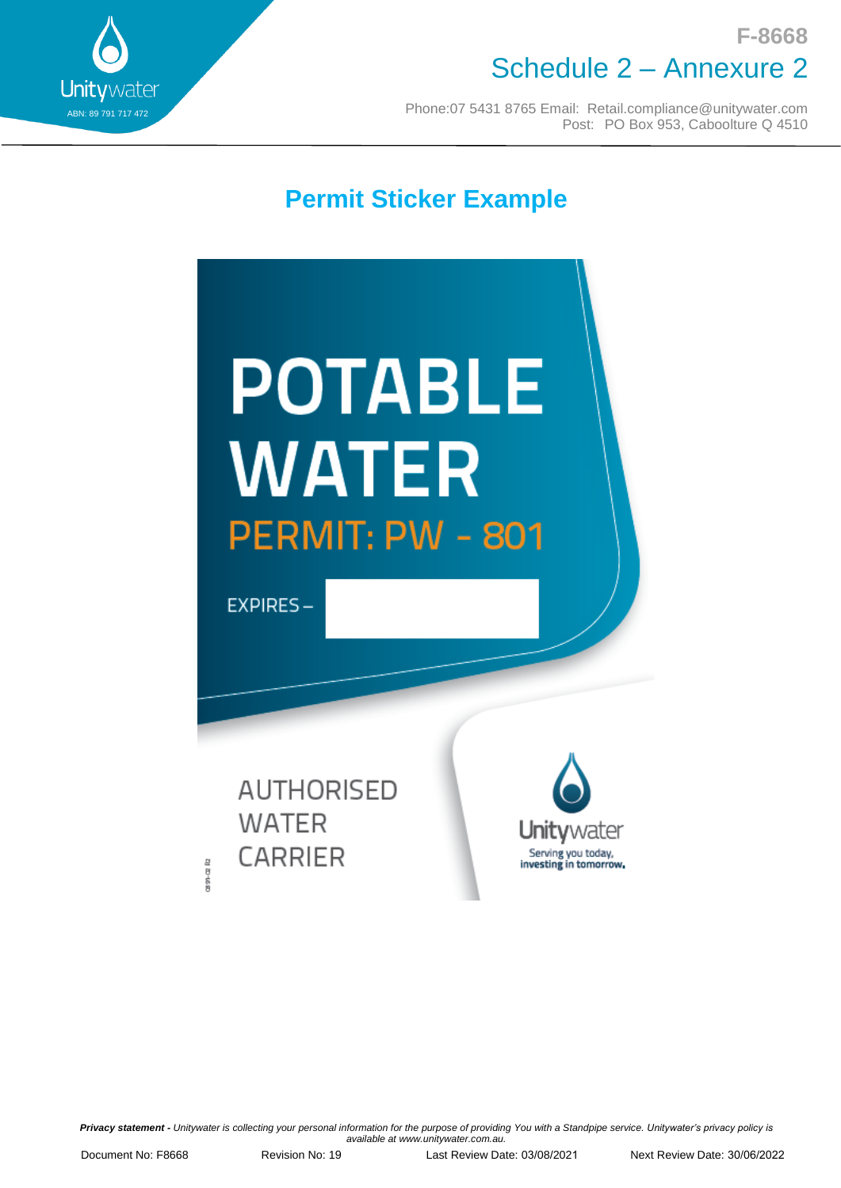

## **F-8668** Schedule 2 – Annexure 2

Phone:07 5431 8765 Email: [Retail.compliance@unitywater.com](mailto:Retail.compliance@unitywater.com) Post: PO Box 953, Caboolture Q 4510

**Permit Sticker Example**



**AUTHORISED WATER CARRIER** 

 $29 - 22R$ 



*Privacy statement - Unitywater is collecting your personal information for the purpose of providing You with a Standpipe service. Unitywater's privacy policy is available at www.unitywater.com.au.*

Document No: F8668 Revision No: 20 Last Review Date: 03/08/2021 *(Minor amend 29/03/2022)*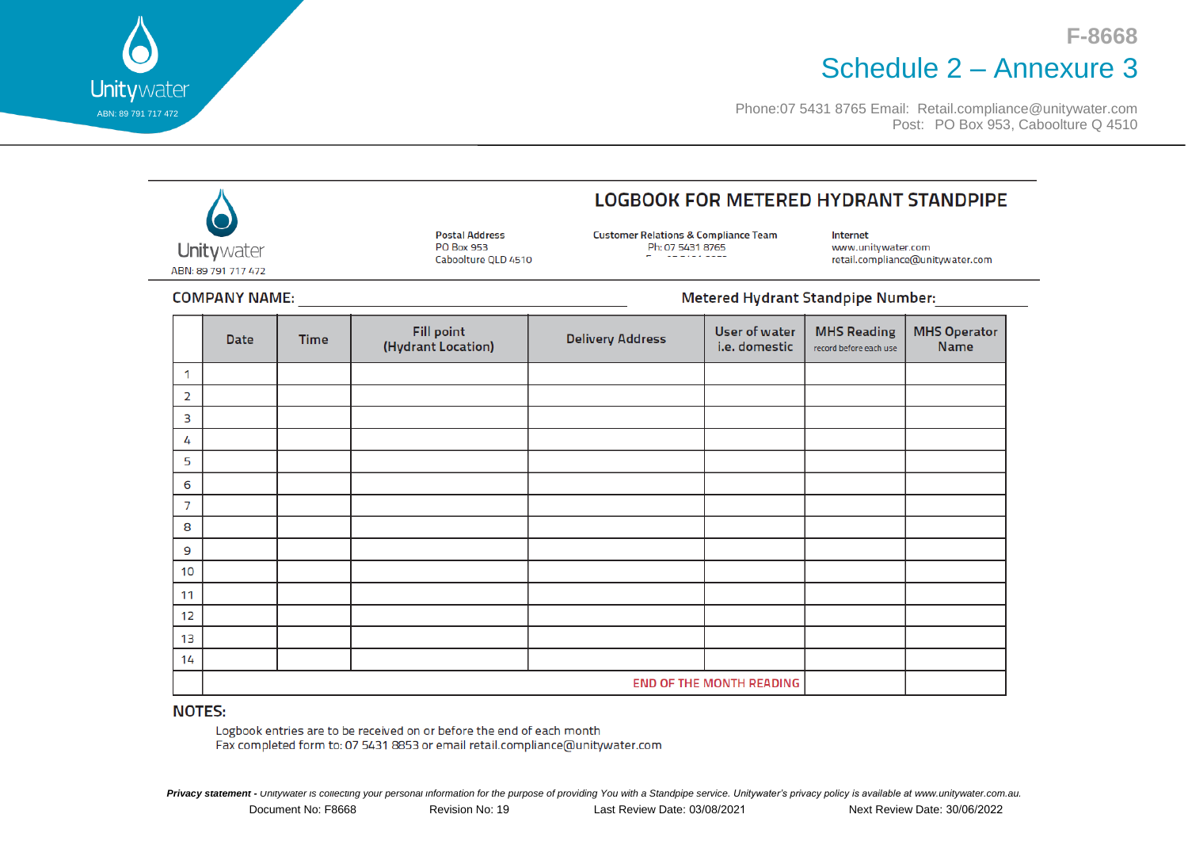## **F-8668** Schedule 2 – Annexure 3

Phone:07 5431 8765 Email: [Retail.compliance@unitywater.com](mailto:Retail.compliance@unitywater.com) Post: PO Box 953, Caboolture Q 4510

|                                                                  |                                 |                                                            |                                         | <b>LOGBOOK FOR METERED HYDRANT STANDPIPE</b>                        |                                       |                                                                    |                                    |  |  |
|------------------------------------------------------------------|---------------------------------|------------------------------------------------------------|-----------------------------------------|---------------------------------------------------------------------|---------------------------------------|--------------------------------------------------------------------|------------------------------------|--|--|
| Unitywater<br>ABN: 89 791 717 472                                |                                 | <b>Postal Address</b><br>PO Box 953<br>Caboolture QLD 4510 |                                         | <b>Customer Relations &amp; Compliance Team</b><br>Ph: 07 5431 8765 |                                       | Internet<br>www.unitywater.com<br>retail.compliance@unitywater.com |                                    |  |  |
| <b>Metered Hydrant Standpipe Number:</b><br><b>COMPANY NAME:</b> |                                 |                                                            |                                         |                                                                     |                                       |                                                                    |                                    |  |  |
|                                                                  | <b>Date</b>                     | <b>Time</b>                                                | <b>Fill point</b><br>(Hydrant Location) | <b>Delivery Address</b>                                             | <b>User of water</b><br>i.e. domestic | <b>MHS Reading</b><br>record before each use                       | <b>MHS Operator</b><br><b>Name</b> |  |  |
| 1                                                                |                                 |                                                            |                                         |                                                                     |                                       |                                                                    |                                    |  |  |
| 2                                                                |                                 |                                                            |                                         |                                                                     |                                       |                                                                    |                                    |  |  |
| 3                                                                |                                 |                                                            |                                         |                                                                     |                                       |                                                                    |                                    |  |  |
| 4                                                                |                                 |                                                            |                                         |                                                                     |                                       |                                                                    |                                    |  |  |
| 5                                                                |                                 |                                                            |                                         |                                                                     |                                       |                                                                    |                                    |  |  |
| 6                                                                |                                 |                                                            |                                         |                                                                     |                                       |                                                                    |                                    |  |  |
| $\overline{7}$                                                   |                                 |                                                            |                                         |                                                                     |                                       |                                                                    |                                    |  |  |
| 8                                                                |                                 |                                                            |                                         |                                                                     |                                       |                                                                    |                                    |  |  |
| 9                                                                |                                 |                                                            |                                         |                                                                     |                                       |                                                                    |                                    |  |  |
| 10                                                               |                                 |                                                            |                                         |                                                                     |                                       |                                                                    |                                    |  |  |
| 11                                                               |                                 |                                                            |                                         |                                                                     |                                       |                                                                    |                                    |  |  |
| 12                                                               |                                 |                                                            |                                         |                                                                     |                                       |                                                                    |                                    |  |  |
| 13                                                               |                                 |                                                            |                                         |                                                                     |                                       |                                                                    |                                    |  |  |
| 14                                                               |                                 |                                                            |                                         |                                                                     |                                       |                                                                    |                                    |  |  |
|                                                                  | <b>END OF THE MONTH READING</b> |                                                            |                                         |                                                                     |                                       |                                                                    |                                    |  |  |

#### **NOTES:**

ABN: 89 791 717 472

 $\overline{\phantom{a}}$ 

Unitywater

Logbook entries are to be received on or before the end of each month Fax completed form to: 07 5431 8853 or email retail.compliance@unitywater.com

*Privacy statement - Unitywater is collecting your personal information for the purpose of providing You with a Standpipe service. Unitywater's privacy policy is available at www.unitywater.com.au.*